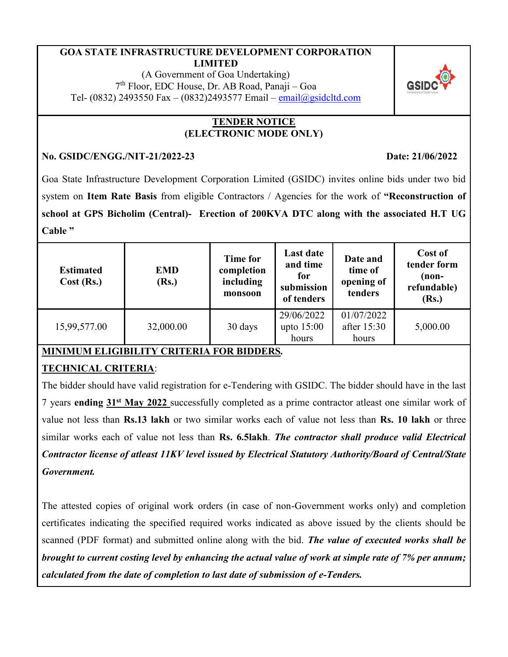#### **GOA STATE INFRASTRUCTURE DEVELOPMENT CORPORATION LIMITED**

(A Government of Goa Undertaking) 7 th Floor, EDC House, Dr. AB Road, Panaji – Goa Tel- (0832) 2493550 Fax – (0832)2493577 Email – [email@gsidcltd.com](mailto:email@gsidcltd.com)

### **TENDER NOTICE (ELECTRONIC MODE ONLY)**

### **No. GSIDC/ENGG./NIT-21/2022-23 Date: 21/06/2022**

Goa State Infrastructure Development Corporation Limited (GSIDC) invites online bids under two bid system on **Item Rate Basis** from eligible Contractors / Agencies for the work of **"Reconstruction of school at GPS Bicholim (Central)- Erection of 200KVA DTC along with the associated H.T UG Cable "**

| <b>Estimated</b><br>Cost (Rs.) | <b>EMD</b><br>(Rs.) | <b>Time for</b><br>completion<br>including<br>monsoon | <b>Last date</b><br>and time<br>for<br>submission<br>of tenders | Date and<br>time of<br>opening of<br>tenders | Cost of<br>tender form<br>(non-<br>refundable)<br>(Rs.) |
|--------------------------------|---------------------|-------------------------------------------------------|-----------------------------------------------------------------|----------------------------------------------|---------------------------------------------------------|
| 15,99,577.00                   | 32,000.00           | 30 days                                               | 29/06/2022<br>upto $15:00$<br>hours                             | 01/07/2022<br>after 15:30<br>hours           | 5,000.00                                                |

# **MINIMUM ELIGIBILITY CRITERIA FOR BIDDERS***.*

# **TECHNICAL CRITERIA**:

The bidder should have valid registration for e-Tendering with GSIDC. The bidder should have in the last 7 years **ending 31st May 2022** successfully completed as a prime contractor atleast one similar work of value not less than **Rs.13 lakh** or two similar works each of value not less than **Rs. 10 lakh** or three similar works each of value not less than **Rs. 6.5lakh**. *The contractor shall produce valid Electrical Contractor license of atleast 11KV level issued by Electrical Statutory Authority/Board of Central/State Government.*

The attested copies of original work orders (in case of non-Government works only) and completion certificates indicating the specified required works indicated as above issued by the clients should be scanned (PDF format) and submitted online along with the bid. *The value of executed works shall be brought to current costing level by enhancing the actual value of work at simple rate of 7% per annum; calculated from the date of completion to last date of submission of e-Tenders.*

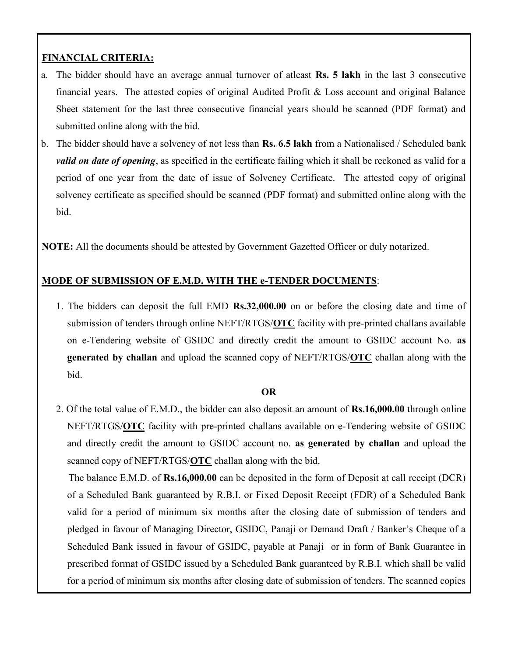## **FINANCIAL CRITERIA:**

- a. The bidder should have an average annual turnover of atleast **Rs. 5 lakh** in the last 3 consecutive financial years. The attested copies of original Audited Profit & Loss account and original Balance Sheet statement for the last three consecutive financial years should be scanned (PDF format) and submitted online along with the bid.
- b. The bidder should have a solvency of not less than **Rs. 6.5 lakh** from a Nationalised / Scheduled bank *valid on date of opening*, as specified in the certificate failing which it shall be reckoned as valid for a period of one year from the date of issue of Solvency Certificate. The attested copy of original solvency certificate as specified should be scanned (PDF format) and submitted online along with the bid.

**NOTE:** All the documents should be attested by Government Gazetted Officer or duly notarized.

## **MODE OF SUBMISSION OF E.M.D. WITH THE e-TENDER DOCUMENTS**:

1. The bidders can deposit the full EMD **Rs.32,000.00** on or before the closing date and time of submission of tenders through online NEFT/RTGS/**OTC** facility with pre-printed challans available on e-Tendering website of GSIDC and directly credit the amount to GSIDC account No. **as generated by challan** and upload the scanned copy of NEFT/RTGS/**OTC** challan along with the bid.

#### **OR**

2. Of the total value of E.M.D., the bidder can also deposit an amount of **Rs.16,000.00** through online NEFT/RTGS/**OTC** facility with pre-printed challans available on e-Tendering website of GSIDC and directly credit the amount to GSIDC account no. **as generated by challan** and upload the scanned copy of NEFT/RTGS/**OTC** challan along with the bid. The balance E.M.D. of **Rs.16,000.00** can be deposited in the form of Deposit at call receipt (DCR) of a Scheduled Bank guaranteed by R.B.I. or Fixed Deposit Receipt (FDR) of a Scheduled Bank valid for a period of minimum six months after the closing date of submission of tenders and pledged in favour of Managing Director, GSIDC, Panaji or Demand Draft / Banker's Cheque of a Scheduled Bank issued in favour of GSIDC, payable at Panaji or in form of Bank Guarantee in prescribed format of GSIDC issued by a Scheduled Bank guaranteed by R.B.I. which shall be valid for a period of minimum six months after closing date of submission of tenders. The scanned copies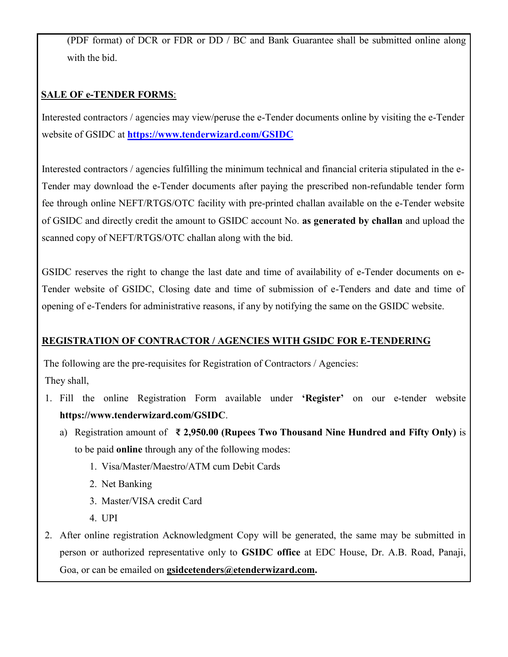(PDF format) of DCR or FDR or DD / BC and Bank Guarantee shall be submitted online along with the bid.

## **SALE OF e-TENDER FORMS**:

Interested contractors / agencies may view/peruse the e-Tender documents online by visiting the e-Tender website of GSIDC at **<https://www.tenderwizard.com/GSIDC>**

Interested contractors / agencies fulfilling the minimum technical and financial criteria stipulated in the e-Tender may download the e-Tender documents after paying the prescribed non-refundable tender form fee through online NEFT/RTGS/OTC facility with pre-printed challan available on the e-Tender website of GSIDC and directly credit the amount to GSIDC account No. **as generated by challan** and upload the scanned copy of NEFT/RTGS/OTC challan along with the bid.

GSIDC reserves the right to change the last date and time of availability of e-Tender documents on e-Tender website of GSIDC, Closing date and time of submission of e-Tenders and date and time of opening of e-Tenders for administrative reasons, if any by notifying the same on the GSIDC website.

### **REGISTRATION OF CONTRACTOR / AGENCIES WITH GSIDC FOR E-TENDERING**

The following are the pre-requisites for Registration of Contractors / Agencies: They shall,

- 1. Fill the online Registration Form available under **'Register'** on our e-tender website **https://www.tenderwizard.com/GSIDC**.
	- a) Registration amount of **₹ 2,950.00 (Rupees Two Thousand Nine Hundred and Fifty Only)** is to be paid **online** through any of the following modes:
		- 1. Visa/Master/Maestro/ATM cum Debit Cards
		- 2. Net Banking
		- 3. Master/VISA credit Card
		- 4. UPI
- 2. After online registration Acknowledgment Copy will be generated, the same may be submitted in person or authorized representative only to **GSIDC office** at EDC House, Dr. A.B. Road, Panaji, Goa, or can be emailed on **[gsidcetenders@etenderwizard.com.](mailto:gsidcetenders@etenderwizard.com)**